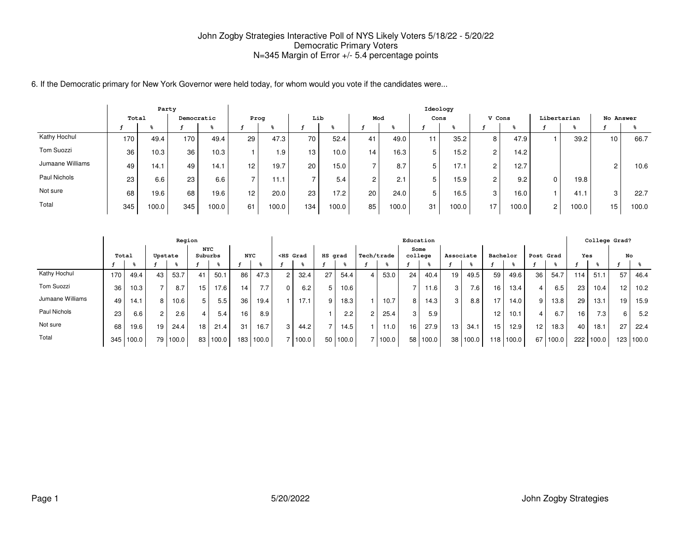6. If the Democratic primary for New York Governor were held today, for whom would you vote if the candidates were...

|                  |       | Party |            |       |                 |       |                 |       |        |                   | Ideology |                    |                      |       |                |       |              |       |
|------------------|-------|-------|------------|-------|-----------------|-------|-----------------|-------|--------|-------------------|----------|--------------------|----------------------|-------|----------------|-------|--------------|-------|
|                  | Total |       | Democratic |       | Prog            |       | Lib             |       | Mod    |                   | Cons     |                    | V Cons               |       | Libertarian    |       | No Answer    |       |
|                  |       |       |            |       |                 |       |                 |       |        |                   |          |                    |                      |       |                |       |              |       |
| Kathy Hochul     | 170   | 49.4  | 170        | 49.4  | 29              | 47.3  | 70 <sub>1</sub> | 52.4  | 41     | 49.0              | 11       | 35.2               | 8 I                  | 47.9  |                | 39.2  | 10           | 66.7  |
| Tom Suozzi       | 36    | 10.3  | 36         | 10.3  |                 | 1.9   | 13 <sub>1</sub> | 10.0  | 14     | 16.3 <sub>1</sub> | 5        | 15.2               | 2 <sub>1</sub>       | 14.2  |                |       |              |       |
| Jumaane Williams | 49    | 14.1  | 49         | 14.1  | 12 <sup>2</sup> | 19.7  | 20              | 15.0  |        | 8.7               | 5        | 17.1               | $\overline{2}$       | 12.7  |                |       | $\mathbf{2}$ | 10.6  |
| Paul Nichols     | 23    | 6.6   | 23         | 6.6   | ⇁               | 11.7  |                 | 5.4   | $\sim$ | 2.1               | 5        | 15.9               | $\mathbf{2}^{\circ}$ | 9.2   | $\Omega$       | 19.8  |              |       |
| Not sure         | 68    | 19.6  | 68         | 19.6  | 12              | 20.0  | 23              | 17.2  | 20     | 24.0              | 5        | 16.5               | 3 I                  | 16.0  |                | 41.1  | 3            | 22.7  |
| Total            | 345   | 100.0 | 345        | 100.0 | 61              | 100.0 | 134             | 100.0 | 85     | 100.0             | 31       | 100.0 <sub>1</sub> | 17                   | 100.0 | $\overline{2}$ | 100.0 | 15           | 100.0 |

|                  |       |       |                | Region   |                       |       |            |       |                                                                                                                                                                                                                                                   |               |         |       |            |       | Education       |       |                 |          |                 |           |                 |       |     | College Grad? |     |       |
|------------------|-------|-------|----------------|----------|-----------------------|-------|------------|-------|---------------------------------------------------------------------------------------------------------------------------------------------------------------------------------------------------------------------------------------------------|---------------|---------|-------|------------|-------|-----------------|-------|-----------------|----------|-----------------|-----------|-----------------|-------|-----|---------------|-----|-------|
|                  | Total |       | Upstate        |          | <b>NYC</b><br>Suburbs |       | <b>NYC</b> |       | <hs grad<="" th=""><th></th><th>HS grad</th><th></th><th>Tech/trade</th><th></th><th>Some<br/>college</th><th></th><th>Associate</th><th></th><th>Bachelor</th><th></th><th>Post Grad</th><th></th><th>Yes</th><th></th><th>No</th><th></th></hs> |               | HS grad |       | Tech/trade |       | Some<br>college |       | Associate       |          | Bachelor        |           | Post Grad       |       | Yes |               | No  |       |
|                  |       |       |                |          |                       |       |            |       |                                                                                                                                                                                                                                                   |               |         |       |            |       |                 |       |                 |          |                 |           |                 |       |     |               |     |       |
| Kathy Hochul     | 170   | 49.4  | 43             | 53.7     | 41                    | 50.1  | 86         | 47.3  |                                                                                                                                                                                                                                                   | 32.4          | 27      | 54.4  |            | 53.0  | 24              | 40.4  | 19              | 49.5     | 59              | 49.6      | 36              | 54.7  | 114 | 51.1          | 57  | 46.4  |
| Tom Suozzi       | 36    | 10.3  |                | 8.7      | 15                    | 17.6  | 14         | 7.7   |                                                                                                                                                                                                                                                   | 6.2           |         | 10.6  |            |       |                 | 11.6  | 3 <sup>1</sup>  | 7.6      | 16              | 13.4      | 4               | 6.5   | 23  | 10.4          | 12  | 10.2  |
| Jumaane Williams | 49    | 14.1  | 8              | 10.6     | 5                     | 5.5   | 36         | 19.4  |                                                                                                                                                                                                                                                   | 17.1          |         | 18.3  |            | 10.7  | 8               | 14.3  | 3 <sub>1</sub>  | 8.8      | 17              | 14.0      | 9               | 13.8  | 29  | 13.1          | 19  | 15.9  |
| Paul Nichols     | 23    | 6.6   | $\overline{2}$ | 2.6      | 4                     | 5.4   | 16         | 8.9   |                                                                                                                                                                                                                                                   |               |         | 2.2   |            | 25.4  | 3 <sup>1</sup>  | 5.9   |                 |          | 12 <sub>1</sub> | 10.1      | 4               | 6.7   | 16  | 7.3           | 6   | 5.2   |
| Not sure         | 68    | 19.6  | 19             | 24.4     | 18 <sub>1</sub>       | 21.4  | 31         | 16.7  |                                                                                                                                                                                                                                                   | 44.2          |         | 14.5  |            | 11.0  | 16              | 27.9  | 13 <sub>1</sub> | 34.1     | 15              | 12.9      | 12 <sub>1</sub> | 18.3  | 40  | 18.1          | 27  | 22.4  |
| Total            | 345   | 100.0 |                | 79 100.0 | 83                    | 100.0 | 183        | 100.0 |                                                                                                                                                                                                                                                   | $\vert$ 100.0 | 50      | 100.0 |            | 100.0 | 58              | 100.0 |                 | 38 100.0 |                 | 118 100.0 | 67              | 100.0 | 222 | 100.0         | 123 | 100.0 |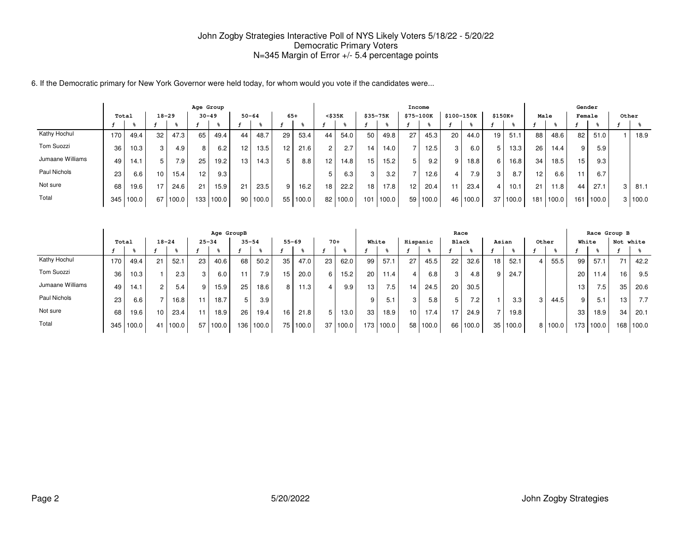6. If the Democratic primary for New York Governor were held today, for whom would you vote if the candidates were...

|                  |       |       |                  |                  | Age Group        |       |    |           |                  |       |                 |       |          |       | Income    |       |                 |            |          |                   |      |       | Gender |       |   |           |
|------------------|-------|-------|------------------|------------------|------------------|-------|----|-----------|------------------|-------|-----------------|-------|----------|-------|-----------|-------|-----------------|------------|----------|-------------------|------|-------|--------|-------|---|-----------|
|                  | Total |       | $18 - 29$        |                  | $30 - 49$        |       |    | $50 - 64$ | $65+$            |       | $<$ \$35 $K$    |       | \$35-75K |       | \$75-100K |       | \$100-150K      |            | $$150K+$ |                   | Male |       | Female |       |   | Other     |
|                  |       |       |                  |                  |                  |       |    |           |                  |       |                 |       |          |       |           |       |                 |            |          |                   |      |       |        |       |   |           |
| Kathy Hochul     | 170.  | 49.4  | 32 <sub>1</sub>  | 47.3             | 65               | 49.4  | 44 | 48.7      | 29               | 53.4  | 44              | 54.0  | 50       | 49.8  | 27        | 45.3  | 20 <sub>1</sub> | 44.0       | 19       | 51.1              | 88   | 48.6  | 82     | 51.0  |   | 18.9      |
| Tom Suozzi       | 36    | 10.3  | 3                | 4.9              | 8                | 6.2   | 12 | 13.5      | 12 <sup>12</sup> | 21.6  | $\overline{2}$  | 2.7   | 14       | 14.0  |           | 12.5  | 3               | 6.0        | 5        | 13.3 <sub>1</sub> | 26   | 14.4  | 9      | 5.9   |   |           |
| Jumaane Williams | 49    | 14.1  | 5                | 7.9 <sub>1</sub> | 25               | 19.2  | 13 | 14.3      |                  | 8.8   | 12.             | 14.8  | 15       | 15.2  |           | 9.2   | 9               | 18.8       | 6        | 16.8              | 34   | 18.5  | 15     | 9.3   |   |           |
| Paul Nichols     | 23    | 6.6   | 10 <sup>10</sup> | 15.4             | 12               | 9.3   |    |           |                  |       |                 | 6.3   | 3        | 3.2   |           | 12.6  | 4               | 7.9        | 3        | 8.7               | 12   | 6.6   |        | 6.7   |   |           |
| Not sure         | 68    | 19.6  | 17               | 24.6             | 21               | 15.9  | 21 | 23.5      | Q                | 16.2  | 18 <sup>1</sup> | 22.2  | 18       | 17.8  | 12        | 20.4  | 11              | 23.4       | 4        | 10.1              | 21   | 11.8  | 44     | 27.1  | 3 | 81.1      |
| Total            | 345   | 100.0 | 67               | 100.0            | 133 <sub>1</sub> | 100.0 | 90 | 100.0     | 55               | 100.0 | 82              | 100.0 | 101      | 100.0 | 59        | 100.0 |                 | 46   100.0 | 37       | 100.0             | 181  | 100.0 | 161    | 100.0 |   | 3   100.0 |

|                  |       |       |                 |       |                 | Age GroupB |           |       |           |          |       |       |                 |                  |          |          | Race            |       |    |          |       |       |       |                  | Race Group B |       |
|------------------|-------|-------|-----------------|-------|-----------------|------------|-----------|-------|-----------|----------|-------|-------|-----------------|------------------|----------|----------|-----------------|-------|----|----------|-------|-------|-------|------------------|--------------|-------|
|                  | Total |       | $18 - 24$       |       | $25 - 34$       |            | $35 - 54$ |       | $55 - 69$ |          | $70+$ |       | White           |                  | Hispanic |          | <b>Black</b>    |       |    | Asian    | Other |       | White |                  | Not white    |       |
|                  |       |       |                 |       |                 |            |           |       |           |          |       |       |                 |                  |          |          |                 |       |    |          |       |       |       |                  |              |       |
| Kathy Hochul     | 170   | 49.4  | 21              | 52.1  | 23              | 40.6       | 68        | 50.2  | 35        | 47.0     | 23    | 62.0  | 99              | 57.1             | 27       | 45.5     | 22 <sub>1</sub> | 32.6  | 18 | 52.1     | 4     | 55.5  | 99    | 57.1             | 71           | 42.2  |
| Tom Suozzi       | 36    | 10.3  |                 | 2.3   | 3               | 6.0        | 11        | 7.9   | 15        | 20.0     | 6     | 15.2  | 20              | 11.4             |          | 6.8      | 3               | 4.8   | 9  | 24.7     |       |       | 20    | 11.4             | 16           | 9.5   |
| Jumaane Williams | 49    | 14.1  |                 | 5.4   | 9               | 15.9       | 25        | 18.6  | 8         | 11.3     |       | 9.9   | 13 <sub>1</sub> | 7.5 <sub>1</sub> | 14       | 24.5     | 20              | 30.5  |    |          |       |       | 13    | 7.5 <sub>1</sub> | 35           | 20.6  |
| Paul Nichols     | 23    | 6.6   |                 | 16.8  | 11              | 18.7       | 5         | 3.9   |           |          |       |       | 9               | 5.1              | 3        | 5.8      | 5               | 7.2   |    | 3.3      | 3     | 44.5  | 9     | 5.1              | 13.          | 7.7   |
| Not sure         | 68    | 19.6  | 10 <sub>1</sub> | 23.4  | 11              | 18.9       | 26        | 19.4  | 16        | 21.8     |       | 13.0  | 33              | 18.9             | 10       | 17.4     | 17              | 24.9  |    | 19.8     |       |       | 33    | 18.9             | 34           | 20.1  |
| Total            | 345   | 100.0 | 41              | 100.0 | 57 <sub>1</sub> | 100.0      | 136       | 100.0 |           | 75 100.0 | 37    | 100.0 |                 | 173 100.0        |          | 58 100.0 | 66 I            | 100.0 |    | 35 100.0 | 8     | 100.0 | 173   | 100.0            | 168          | 100.0 |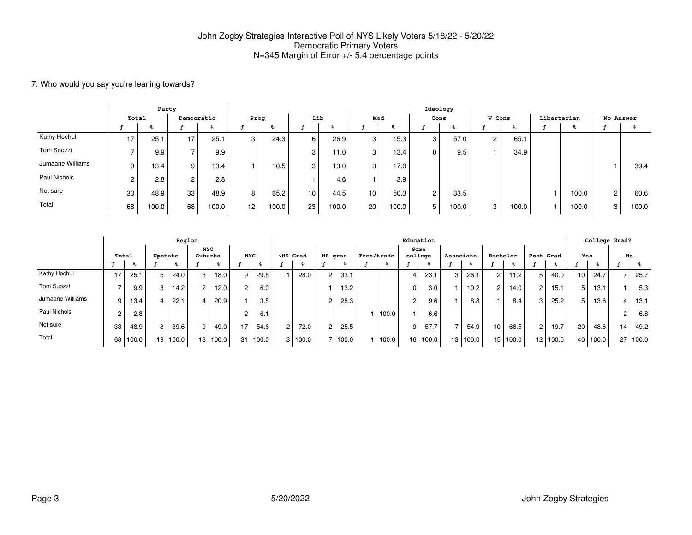### 7. Who would you say you're leaning towards?

|                  |       | Party |            |       |                 |                   |     |       |     |       |                      | Ideology |                |       |             |       |                |       |
|------------------|-------|-------|------------|-------|-----------------|-------------------|-----|-------|-----|-------|----------------------|----------|----------------|-------|-------------|-------|----------------|-------|
|                  | Total |       | Democratic |       | Prog            |                   | Lib |       | Mod |       |                      | Cons     | V Cons         |       | Libertarian |       | No Answer      |       |
|                  |       |       |            |       |                 |                   |     |       |     |       |                      |          |                |       |             |       |                |       |
| Kathy Hochul     | 17    | 25.   | 17         | 25.1  | 3               | 24.3              | 6   | 26.9  | 3   | 15.3  | 3                    | 57.0     | 2 <sub>1</sub> | 65.1  |             |       |                |       |
| Tom Suozzi       |       | 9.9   |            | 9.9   |                 |                   | 3   | 11.0  | 3   | 13.4  | 0                    | 9.5      |                | 34.9  |             |       |                |       |
| Jumaane Williams | 9     | 13.4  | 9          | 13.4  |                 | 10.5 <sub>1</sub> | 3   | 13.0  | 3   | 17.0  |                      |          |                |       |             |       |                | 39.4  |
| Paul Nichols     |       | 2.8   | 2          | 2.8   |                 |                   |     | 4.6   |     | 3.9   |                      |          |                |       |             |       |                |       |
| Not sure         | 33    | 48.9  | 33         | 48.9  | 8               | 65.2              | 10  | 44.5  | 10  | 50.3  | $\mathbf{2}^{\circ}$ | 33.5     |                |       |             | 100.0 | $\overline{2}$ | 60.6  |
| Total            | 68    | 100.0 | 68         | 100.0 | 12 <sub>1</sub> | 100.0             | 23  | 100.0 | 20  | 100.0 | 5                    | 100.0    | 3              | 100.0 |             | 100.0 | 3              | 100.0 |

|                  |       |       |         | Region   |                       |       |            |       |                |                                                                                                                                                                                                                                        |         |       |            | Education       |          |           |          |                      |       |                |       |            |       | College Grad? |       |
|------------------|-------|-------|---------|----------|-----------------------|-------|------------|-------|----------------|----------------------------------------------------------------------------------------------------------------------------------------------------------------------------------------------------------------------------------------|---------|-------|------------|-----------------|----------|-----------|----------|----------------------|-------|----------------|-------|------------|-------|---------------|-------|
|                  | Total |       | Upstate |          | <b>NYC</b><br>Suburbs |       | <b>NYC</b> |       |                | <hs grad<="" th=""><th>HS grad</th><th></th><th>Tech/trade</th><th>Some<br/>college</th><th></th><th>Associate</th><th></th><th>Bachelor</th><th></th><th>Post Grad</th><th></th><th><b>Yes</b></th><th></th><th></th><th>No</th></hs> | HS grad |       | Tech/trade | Some<br>college |          | Associate |          | Bachelor             |       | Post Grad      |       | <b>Yes</b> |       |               | No    |
|                  |       |       |         |          |                       |       |            |       |                |                                                                                                                                                                                                                                        |         |       |            |                 |          |           |          |                      |       |                |       |            |       |               |       |
| Kathy Hochul     | 17    | 25.1  |         | 24.0     | 3                     | 18.0  | 9          | 29.8  |                | 28.0                                                                                                                                                                                                                                   | 2       | 33.1  |            |                 | 23.1     | 3         | 26.1     | $\mathbf{2}^{\circ}$ | 11.2  | 5              | 40.0  | 10         | 24.7  |               | 25.7  |
| Tom Suozzi       |       | 9.9   | 3       | 14.2     | $\overline{c}$        | 12.0  | 2          | 6.0   |                |                                                                                                                                                                                                                                        |         | 13.2  |            | $\Omega$        | 3.0      |           | 10.2     | $\mathbf{2}$         | 14.0  | $\overline{2}$ | 15.1  | 5          | 13.1  |               | 5.3   |
| Jumaane Williams | 9 I   | 13.4  |         | 22.1     | 4                     | 20.9  |            | 3.5   |                |                                                                                                                                                                                                                                        |         | 28.3  |            | 2               | 9.6      |           | 8.8      |                      | 8.4   | 3              | 25.2  | 5          | 13.6  |               | 13.1  |
| Paul Nichols     | C.    | 2.8   |         |          |                       |       | 2          | 6.1   |                |                                                                                                                                                                                                                                        |         |       | 100.0      |                 | 6.6      |           |          |                      |       |                |       |            |       |               | 6.8   |
| Not sure         | 33    | 48.9  | 8       | 39.6     | 9                     | 49.0  | 17         | 54.6  | $\overline{2}$ | 72.0                                                                                                                                                                                                                                   |         | 25.5  |            | 9               | 57.7     |           | 54.9     | 10 <sub>1</sub>      | 66.5  | $\overline{2}$ | 19.7  | 20         | 48.6  | 14            | 49.2  |
| Total            | 68 I  | 100.0 |         | 19 100.0 | 18 <sup>1</sup>       | 100.0 | 31         | 100.0 |                | 3 100.0                                                                                                                                                                                                                                |         | 100.0 | 100.0      |                 | 16 100.0 |           | 13 100.0 | 15 <sup>1</sup>      | 100.0 | 12             | 100.0 | 40         | 100.0 | 27            | 100.0 |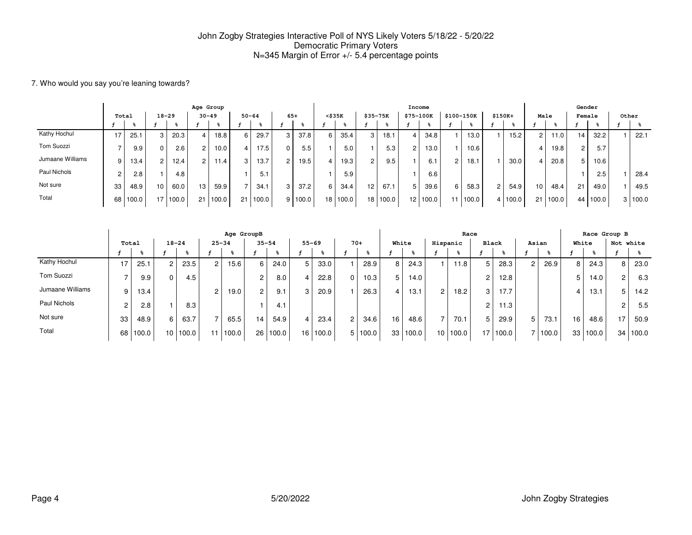#### 7. Who would you say you're leaning towards?

|                  |                |          |                 |       | Age Group      |       |                          |       |                |         |                 |                   |                 |          |           | Income   |                |          |                      |         |                 |       |    | Gender |       |       |
|------------------|----------------|----------|-----------------|-------|----------------|-------|--------------------------|-------|----------------|---------|-----------------|-------------------|-----------------|----------|-----------|----------|----------------|----------|----------------------|---------|-----------------|-------|----|--------|-------|-------|
|                  | Total          |          | $18 - 29$       |       | $30 - 49$      |       | $50 - 64$                |       | $65+$          |         | $<$ \$35 $K$    |                   | \$35-75K        |          | \$75-100K |          | \$100-150K     |          | $$150K+$             |         | Male            |       |    | Female | Other |       |
|                  |                |          |                 |       |                |       |                          |       |                |         |                 |                   |                 |          |           |          |                |          |                      |         |                 |       |    |        |       |       |
| Kathy Hochul     | 17             | 25.1     | 3               | 20.3  | $\overline{4}$ | 18.8  | 6                        | 29.7  | 3              | 37.8    | 6               | 35.4              | 3               | 18.1     |           | 34.8     |                | 13.0     |                      | 15.2    | $\overline{2}$  | 11.0. | 14 | 32.2   |       | 22.1  |
| Tom Suozzi       |                | 9.9      |                 | 2.6   | 2              | 10.0  |                          | 17.5  | $\Omega$       | 5.5     |                 | 5.0               |                 | 5.3      |           | 13.0     |                | 10.6     |                      |         | 4               | 19.8  | 2  | 5.7    |       |       |
| Jumaane Williams | 9              | 13.4     |                 | 12.4  | $\overline{2}$ | 11.4  | 3                        | 13.7  | $\overline{2}$ | 19.5    |                 | 19.3 <sub>1</sub> | 2               | 9.5      |           | 6.1      | $\overline{2}$ | 18.1     |                      | 30.0    | 4               | 20.8  | 5  | 10.6   |       |       |
| Paul Nichols     | $\overline{2}$ | 2.8      |                 | 4.8   |                |       |                          | 5.1   |                |         |                 | 5.9               |                 |          |           | 6.6      |                |          |                      |         |                 |       |    | 2.5    |       | 28.4  |
| Not sure         | 33             | 48.9     | 10 <sup>1</sup> | 60.0  | 13             | 59.9  | $\overline{\phantom{0}}$ | 34.   | 3              | 37.2    | 6.              | 34.4              | 12 <sub>1</sub> | 67.1     | 5         | 39.6     | 6              | 58.3     | $\mathbf{2}^{\circ}$ | 54.9    | 10              | 48.4  | 21 | 49.0   |       | 49.5  |
| Total            |                | 68 100.0 | 17 <sub>1</sub> | 100.0 | 21             | 100.0 | 21                       | 100.0 |                | 9 100.0 | 18 <sub>1</sub> | 100.0             |                 | 18 100.0 |           | 12 100.0 |                | 11 100.0 |                      | 4 100.0 | 21 <sub>1</sub> | 100.0 | 44 | 100.0  | 3     | 100.0 |

|                  |       |       |                |          |                | Age GroupB        |                |       |                |          |                |         |                 |          |                 | Race              |                 |       |                |              |                 |          | Race Group B    |       |
|------------------|-------|-------|----------------|----------|----------------|-------------------|----------------|-------|----------------|----------|----------------|---------|-----------------|----------|-----------------|-------------------|-----------------|-------|----------------|--------------|-----------------|----------|-----------------|-------|
|                  | Total |       | $18 - 24$      |          | $25 - 34$      |                   | $35 - 54$      |       | $55 - 69$      |          |                | $70+$   | White           |          | Hispanic        |                   | Black           |       | Asian          |              | White           |          | Not white       |       |
|                  |       |       |                | ዱ        |                |                   |                | ℁     |                |          |                |         |                 |          |                 |                   |                 |       |                | $\mathbf{R}$ |                 |          |                 |       |
| Kathy Hochul     | 17    | 25.7  | $\overline{2}$ | 23.5     | 2 <sub>1</sub> | 15.6 <sub>1</sub> | 6              | 24.0  | 5              | 33.0     |                | 28.9    | 8               | 24.3     |                 | 11.8              | 5               | 28.3  | $\overline{c}$ | 26.9         | 8               | 24.3     | 8               | 23.0  |
| Tom Suozzi       |       | 9.9   | $\mathbf{0}$   | 4.5      |                |                   | $\overline{2}$ | 8.0   | $\overline{4}$ | 22.8     | 0              | 10.3    | 5               | $14.0$ . |                 |                   | $\overline{2}$  | 12.8  |                |              | 5               | 14.0     | 2               | 6.3   |
| Jumaane Williams | 9     | 13.4  |                |          | 2              | 19.0              | $\overline{2}$ | 9.1   | 3 <sup>1</sup> | 20.9     |                | 26.3    | 4               | 13.1     | $\overline{2}$  | 18.2 <sub>1</sub> | 3               | 17.7  |                |              |                 | 13.1     | 5               | 14.2  |
| Paul Nichols     |       | 2.8   |                | 8.3      |                |                   |                | 4.1   |                |          |                |         |                 |          |                 |                   | 2               | 11.3  |                |              |                 |          | 2               | 5.5   |
| Not sure         | 33    | 48.9  | 6              | 63.7     |                | 65.5              | 14             | 54.9  | 4 I            | 23.4     | 2 <sup>1</sup> | 34.6    | 16 <sub>1</sub> | 48.6     | ⇁               | 70.1              | 5               | 29.9  | 5              | 73.1         | 16 <sub>1</sub> | 48.6     | 17              | 50.9  |
| Total            | 68    | 100.0 |                | 10 100.0 |                | 11 100.0          | 26 I           | 100.0 |                | 16 100.0 |                | 5 100.0 | 33              | 100.0    | 10 <sub>1</sub> | 100.0             | 17 <sub>1</sub> | 100.0 | 7              | 100.0        |                 | 33 100.0 | 34 <sub>1</sub> | 100.0 |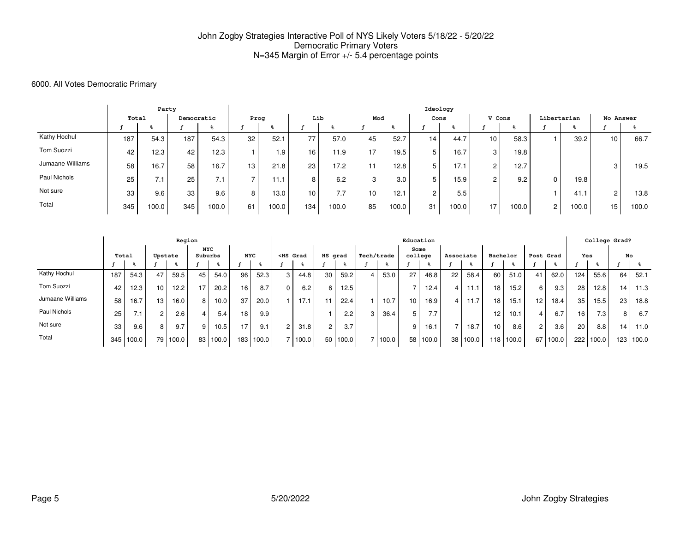### 6000. All Votes Democratic Primary

|                  |       | Party |            |       |      |       |     |       |     |       | Ideology       |       |                |       |                |       |                 |       |
|------------------|-------|-------|------------|-------|------|-------|-----|-------|-----|-------|----------------|-------|----------------|-------|----------------|-------|-----------------|-------|
|                  | Total |       | Democratic |       | Prog |       | Lib |       | Mod |       | Cons           |       | V Cons         |       | Libertarian    |       | No Answer       |       |
|                  |       |       |            |       |      |       |     |       |     |       |                |       |                |       |                |       |                 |       |
| Kathy Hochul     | 187   | 54.3  | 187        | 54.3  | 32   | 52.1  | 77  | 57.0  | 45  | 52.7  | 14             | 44.7  | 10             | 58.3  |                | 39.2  | 10 <sup>1</sup> | 66.7  |
| Tom Suozzi       | 42    | 12.3  | 42         | 12.3  |      | 1.9   | 16  | 11.9  | 17  | 19.5  | 5              | 16.7  | 3              | 19.8  |                |       |                 |       |
| Jumaane Williams | 58    | 16.7  | 58         | 16.7  | 13   | 21.8  | 23  | 17.2  | 11  | 12.8  | 5              | 17.1  | $\overline{2}$ | 12.7  |                |       | 3               | 19.5  |
| Paul Nichols     | 25    | 7. I  | 25         | 7.1   | ⇁    | 11.1  | 8   | 6.2   | 3   | 3.0   | 5              | 15.9  | $\overline{2}$ | 9.2   | $\Omega$       | 19.8  |                 |       |
| Not sure         | 33    | 9.6   | 33         | 9.6   | 8    | 13.0  | 10  | 7.7   | 10  | 12.1  | $\overline{2}$ | 5.5   |                |       |                | 41.1  | $\overline{2}$  | 13.8  |
| Total            | 345   | 100.0 | 345        | 100.0 | 61   | 100.0 | 134 | 100.0 | 85  | 100.0 | 31             | 100.0 | 17             | 100.0 | $\overline{2}$ | 100.0 | 15              | 100.0 |

|                  | Region |       |                 |          |                       |       |                 |       |                |                                                                                                                                                                                                                                                 |         |               |            |       | Education       |          |           |          |                 |       |                |       |            |                  | College Grad?    |       |
|------------------|--------|-------|-----------------|----------|-----------------------|-------|-----------------|-------|----------------|-------------------------------------------------------------------------------------------------------------------------------------------------------------------------------------------------------------------------------------------------|---------|---------------|------------|-------|-----------------|----------|-----------|----------|-----------------|-------|----------------|-------|------------|------------------|------------------|-------|
|                  | Total  |       | Upstate         |          | <b>NYC</b><br>Suburbs |       | <b>NYC</b>      |       |                | <hs grad<="" th=""><th>HS grad</th><th></th><th>Tech/trade</th><th></th><th>Some<br/>college</th><th></th><th>Associate</th><th></th><th>Bachelor</th><th></th><th>Post Grad</th><th></th><th><b>Yes</b></th><th></th><th></th><th>No</th></hs> | HS grad |               | Tech/trade |       | Some<br>college |          | Associate |          | Bachelor        |       | Post Grad      |       | <b>Yes</b> |                  |                  | No    |
|                  |        |       |                 |          |                       |       |                 |       |                |                                                                                                                                                                                                                                                 |         |               |            |       |                 |          |           |          |                 |       |                |       |            |                  |                  |       |
| Kathy Hochul     | 187    | 54.3  | 47              | 59.5     | 45                    | 54.0  | 96              | 52.3  | 3              | 44.8                                                                                                                                                                                                                                            | 30      | 59.2          |            | 53.0  | 27              | 46.8     | 22        | 58.4     | 60              | 51.0  | 41             | 62.0  | 124        | 55.6             | 64               | 52.1  |
| Tom Suozzi       | 42     | 12.3  | 10 <sub>1</sub> | 12.2     | 17                    | 20.2  | 16 <sub>1</sub> | 8.7   | $\Omega$       | 6.2                                                                                                                                                                                                                                             | 6.      | 12.5          |            |       |                 | 12.4     | $\vert$   | 11.1     | 18 <sub>1</sub> | 15.2  | 6              | 9.3   | 28         | 12.8             | 14               | 11.3  |
| Jumaane Williams | 58     | 16.7  | 13 <sub>1</sub> | 16.0     | 8                     | 10.0  | 37              | 20.0  |                | 17.1                                                                                                                                                                                                                                            |         | 22.4          |            | 10.7  | 10              | 16.9     | 4         | 1.7      | 18              | 15.1  | 12             | 18.4  | 35         | 15.5             | 23               | 18.8  |
| Paul Nichols     | 25     | 7.1   |                 | 2.6      | 4                     | 5.4   | 18              | 9.9   |                |                                                                                                                                                                                                                                                 |         | $2.2^{\circ}$ |            | 36.4  | 5               | 7.7      |           |          | 12 <sub>1</sub> | 10.1  | 4              | 6.7   | 16         | 7.3 <sub>1</sub> | 8 <sub>1</sub>   | 6.7   |
| Not sure         | 33     | 9.6   | 8               | 9.7      | 9                     | 10.5  | 17              | 9.1   | $\overline{2}$ | 31.8                                                                                                                                                                                                                                            |         | 3.7           |            |       | 9               | 16.1     |           | 18.7     | 10 <sup>1</sup> | 8.6   | $\overline{2}$ | 3.6   | 20         | 8.8              | 14               | 11.0  |
| Total            | 345    | 100.0 |                 | 79 100.0 | 83                    | 100.0 | 183             | 100.0 |                | 100.0                                                                                                                                                                                                                                           | 50      | 100.0         |            | 100.0 |                 | 58 100.0 |           | 38 100.0 | 118             | 100.0 | 67             | 100.0 | 222        | 100.0            | 123 <sub>1</sub> | 100.0 |